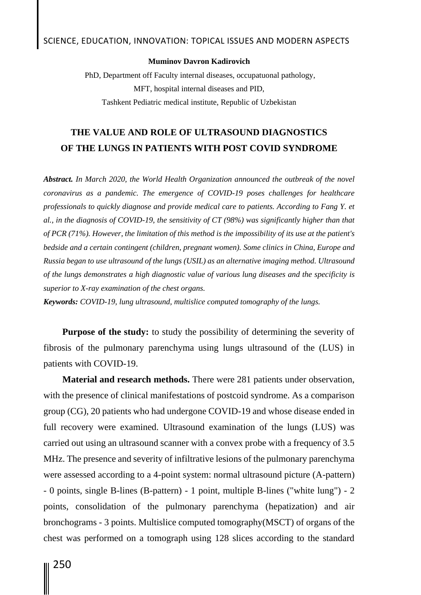## **Muminov Davron Kadirovich**

PhD, Department off Faculty internal diseases, occupatuonal pathology, MFT, hospital internal diseases and PID, Tashkent Pediatric medical institute, Republic of Uzbekistan

## **THE VALUE AND ROLE OF ULTRASOUND DIAGNOSTICS OF THE LUNGS IN PATIENTS WITH POST COVID SYNDROME**

*Abstract. In March 2020, the World Health Organization announced the outbreak of the novel coronavirus as a pandemic. The emergence of COVID-19 poses challenges for healthcare professionals to quickly diagnose and provide medical care to patients. According to Fang Y. et al., in the diagnosis of COVID-19, the sensitivity of CT (98%) was significantly higher than that of PCR (71%). However, the limitation of this method is the impossibility of its use at the patient's bedside and a certain contingent (children, pregnant women). Some clinics in China, Europe and Russia began to use ultrasound of the lungs (USIL) as an alternative imaging method. Ultrasound of the lungs demonstrates a high diagnostic value of various lung diseases and the specificity is superior to X-ray examination of the chest organs.*

*Keywords: COVID-19, lung ultrasound, multislice computed tomography of the lungs.*

**Purpose of the study:** to study the possibility of determining the severity of fibrosis of the pulmonary parenchyma using lungs ultrasound of the (LUS) in patients with COVID-19.

**Material and research methods.** There were 281 patients under observation, with the presence of clinical manifestations of postcoid syndrome. As a comparison group (CG), 20 patients who had undergone COVID-19 and whose disease ended in full recovery were examined. Ultrasound examination of the lungs (LUS) was carried out using an ultrasound scanner with a convex probe with a frequency of 3.5 MHz. The presence and severity of infiltrative lesions of the pulmonary parenchyma were assessed according to a 4-point system: normal ultrasound picture (A-pattern) - 0 points, single B-lines (B-pattern) - 1 point, multiple B-lines ("white lung") - 2 points, consolidation of the pulmonary parenchyma (hepatization) and air bronchograms - 3 points. Multislice computed tomography(MSCT) of organs of the chest was performed on a tomograph using 128 slices according to the standard